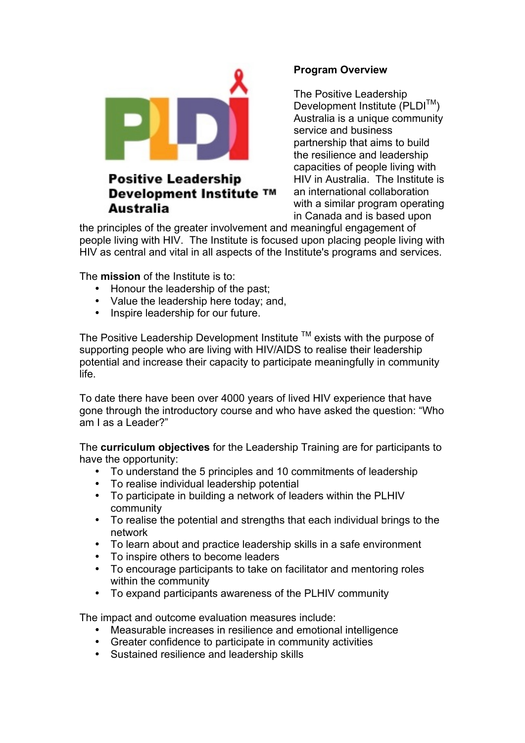

# **Positive Leadership** Development Institute ™ **Australia**

## **Program Overview**

The Positive Leadership Development Institute (PLDI<sup>™</sup>) Australia is a unique community service and business partnership that aims to build the resilience and leadership capacities of people living with HIV in Australia. The Institute is an international collaboration with a similar program operating in Canada and is based upon

the principles of the greater involvement and meaningful engagement of people living with HIV. The Institute is focused upon placing people living with HIV as central and vital in all aspects of the Institute's programs and services.

The **mission** of the Institute is to:

- Honour the leadership of the past;<br>• Value the leadership here today: a
- Value the leadership here today; and,
- Inspire leadership for our future.

The Positive Leadership Development Institute  $TM$  exists with the purpose of supporting people who are living with HIV/AIDS to realise their leadership potential and increase their capacity to participate meaningfully in community life.

To date there have been over 4000 years of lived HIV experience that have gone through the introductory course and who have asked the question: "Who am I as a Leader?"

The **curriculum objectives** for the Leadership Training are for participants to have the opportunity:

- To understand the 5 principles and 10 commitments of leadership
- To realise individual leadership potential
- To participate in building a network of leaders within the PLHIV community
- To realise the potential and strengths that each individual brings to the network
- To learn about and practice leadership skills in a safe environment
- To inspire others to become leaders<br>• To encourage participants to take on
- To encourage participants to take on facilitator and mentoring roles within the community
- To expand participants awareness of the PLHIV community

The impact and outcome evaluation measures include:

- Measurable increases in resilience and emotional intelligence
- Greater confidence to participate in community activities
- Sustained resilience and leadership skills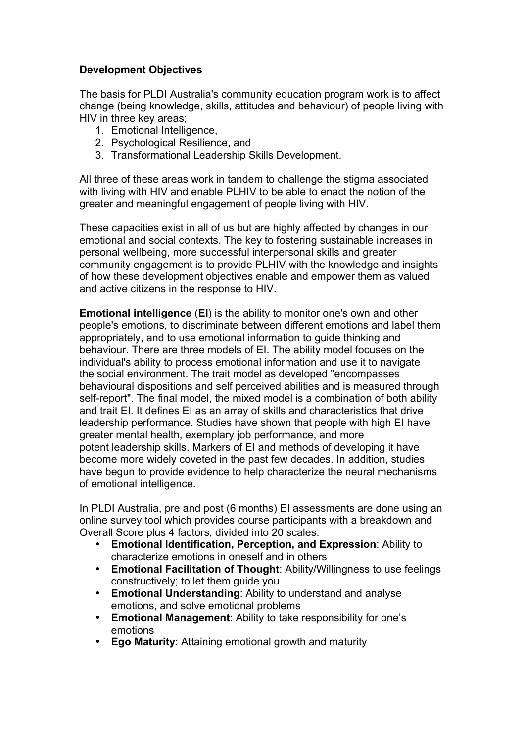### **Development Objectives**

The basis for PLDI Australia's community education program work is to affect change (being knowledge, skills, attitudes and behaviour) of people living with HIV in three key areas;

- 1. Emotional Intelligence,
- 2. Psychological Resilience, and
- 3. Transformational Leadership Skills Development.

All three of these areas work in tandem to challenge the stigma associated with living with HIV and enable PLHIV to be able to enact the notion of the greater and meaningful engagement of people living with HIV.

These capacities exist in all of us but are highly affected by changes in our emotional and social contexts. The key to fostering sustainable increases in personal wellbeing, more successful interpersonal skills and greater community engagement is to provide PLHIV with the knowledge and insights of how these development objectives enable and empower them as valued and active citizens in the response to HIV.

**Emotional intelligence** (**EI**) is the ability to monitor one's own and other people's emotions, to discriminate between different emotions and label them appropriately, and to use emotional information to guide thinking and behaviour. There are three models of EI. The ability model focuses on the individual's ability to process emotional information and use it to navigate the social environment. The trait model as developed "encompasses behavioural dispositions and self perceived abilities and is measured through self-report". The final model, the mixed model is a combination of both ability and trait EI. It defines EI as an array of skills and characteristics that drive leadership performance. Studies have shown that people with high EI have greater mental health, exemplary job performance, and more potent leadership skills. Markers of EI and methods of developing it have become more widely coveted in the past few decades. In addition, studies have begun to provide evidence to help characterize the neural mechanisms of emotional intelligence.

In PLDI Australia, pre and post (6 months) EI assessments are done using an online survey tool which provides course participants with a breakdown and Overall Score plus 4 factors, divided into 20 scales:

- **Emotional Identification, Perception, and Expression**: Ability to characterize emotions in oneself and in others
- **Emotional Facilitation of Thought**: Ability/Willingness to use feelings constructively; to let them guide you
- **Emotional Understanding**: Ability to understand and analyse emotions, and solve emotional problems
- **Emotional Management**: Ability to take responsibility for one's emotions
- **Ego Maturity**: Attaining emotional growth and maturity